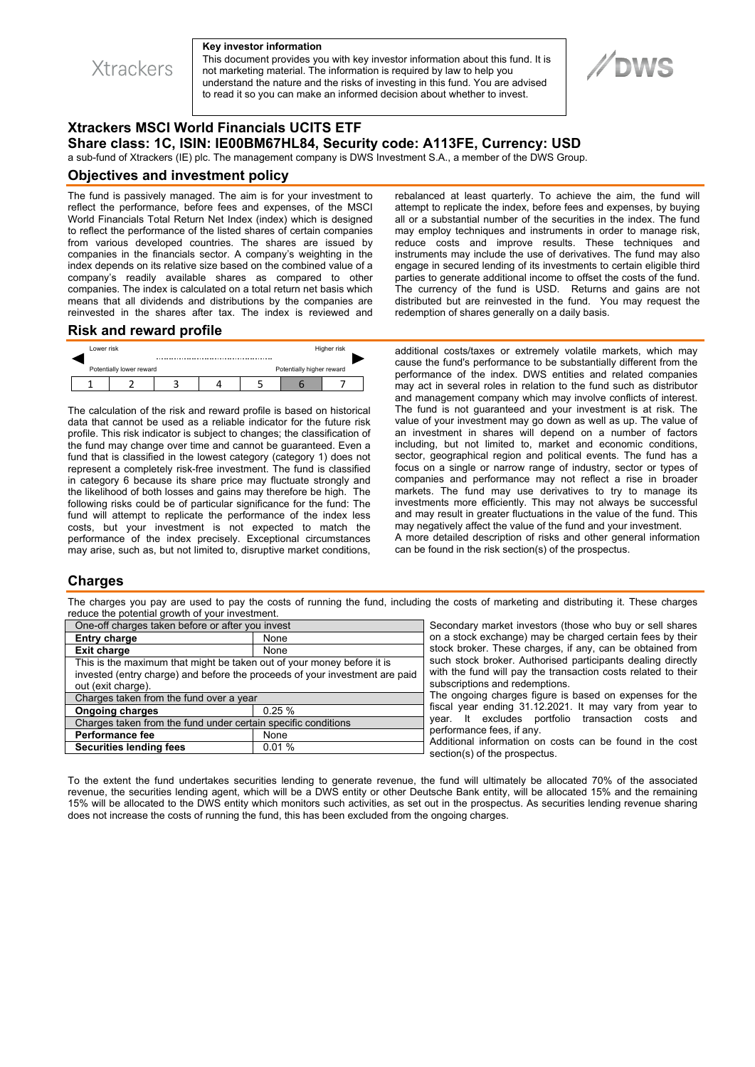

#### **Key investor information**

This document provides you with key investor information about this fund. It is not marketing material. The information is required by law to help you understand the nature and the risks of investing in this fund. You are advised to read it so you can make an informed decision about whether to invest.



# **Xtrackers MSCI World Financials UCITS ETF Share class: 1C, ISIN: IE00BM67HL84, Security code: A113FE, Currency: USD**

a sub-fund of Xtrackers (IE) plc. The management company is DWS Investment S.A., a member of the DWS Group.

### **Objectives and investment policy**

The fund is passively managed. The aim is for your investment to reflect the performance, before fees and expenses, of the MSCI World Financials Total Return Net Index (index) which is designed to reflect the performance of the listed shares of certain companies from various developed countries. The shares are issued by companies in the financials sector. A company's weighting in the index depends on its relative size based on the combined value of a company's readily available shares as compared to other companies. The index is calculated on a total return net basis which means that all dividends and distributions by the companies are reinvested in the shares after tax. The index is reviewed and rebalanced at least quarterly. To achieve the aim, the fund will attempt to replicate the index, before fees and expenses, by buying all or a substantial number of the securities in the index. The fund may employ techniques and instruments in order to manage risk, reduce costs and improve results. These techniques and instruments may include the use of derivatives. The fund may also engage in secured lending of its investments to certain eligible third parties to generate additional income to offset the costs of the fund. The currency of the fund is USD. Returns and gains are not distributed but are reinvested in the fund. You may request the redemption of shares generally on a daily basis.

#### **Risk and reward profile**

| Lower risk               |  | Higher risk |                               |  |  |  |
|--------------------------|--|-------------|-------------------------------|--|--|--|
| Potentially lower reward |  |             | <br>Potentially higher reward |  |  |  |
|                          |  |             |                               |  |  |  |

The calculation of the risk and reward profile is based on historical data that cannot be used as a reliable indicator for the future risk profile. This risk indicator is subject to changes; the classification of the fund may change over time and cannot be guaranteed. Even a fund that is classified in the lowest category (category 1) does not represent a completely risk-free investment. The fund is classified in category 6 because its share price may fluctuate strongly and the likelihood of both losses and gains may therefore be high. The following risks could be of particular significance for the fund: The fund will attempt to replicate the performance of the index less costs, but your investment is not expected to match the performance of the index precisely. Exceptional circumstances may arise, such as, but not limited to, disruptive market conditions,

additional costs/taxes or extremely volatile markets, which may cause the fund's performance to be substantially different from the performance of the index. DWS entities and related companies may act in several roles in relation to the fund such as distributor and management company which may involve conflicts of interest. The fund is not guaranteed and your investment is at risk. The value of your investment may go down as well as up. The value of an investment in shares will depend on a number of factors including, but not limited to, market and economic conditions, sector, geographical region and political events. The fund has a focus on a single or narrow range of industry, sector or types of companies and performance may not reflect a rise in broader markets. The fund may use derivatives to try to manage its investments more efficiently. This may not always be successful and may result in greater fluctuations in the value of the fund. This may negatively affect the value of the fund and your investment. A more detailed description of risks and other general information

can be found in the risk section(s) of the prospectus.

### **Charges**

The charges you pay are used to pay the costs of running the fund, including the costs of marketing and distributing it. These charges reduce the potential growth of your investment.

| One-off charges taken before or after you invest                                                                                                      |  |  |  |  |  |
|-------------------------------------------------------------------------------------------------------------------------------------------------------|--|--|--|--|--|
| None                                                                                                                                                  |  |  |  |  |  |
| None                                                                                                                                                  |  |  |  |  |  |
| This is the maximum that might be taken out of your money before it is<br>invested (entry charge) and before the proceeds of your investment are paid |  |  |  |  |  |
| out (exit charge).                                                                                                                                    |  |  |  |  |  |
| Charges taken from the fund over a year                                                                                                               |  |  |  |  |  |
| 0.25%                                                                                                                                                 |  |  |  |  |  |
| Charges taken from the fund under certain specific conditions                                                                                         |  |  |  |  |  |
| None                                                                                                                                                  |  |  |  |  |  |
| 0.01%                                                                                                                                                 |  |  |  |  |  |
|                                                                                                                                                       |  |  |  |  |  |

Secondary market investors (those who buy or sell shares on a stock exchange) may be charged certain fees by their stock broker. These charges, if any, can be obtained from such stock broker. Authorised participants dealing directly with the fund will pay the transaction costs related to their subscriptions and redemptions.

The ongoing charges figure is based on expenses for the fiscal year ending 31.12.2021. It may vary from year to year. It excludes portfolio transaction costs and performance fees, if any.

Additional information on costs can be found in the cost section(s) of the prospectus.

To the extent the fund undertakes securities lending to generate revenue, the fund will ultimately be allocated 70% of the associated revenue, the securities lending agent, which will be a DWS entity or other Deutsche Bank entity, will be allocated 15% and the remaining 15% will be allocated to the DWS entity which monitors such activities, as set out in the prospectus. As securities lending revenue sharing does not increase the costs of running the fund, this has been excluded from the ongoing charges.